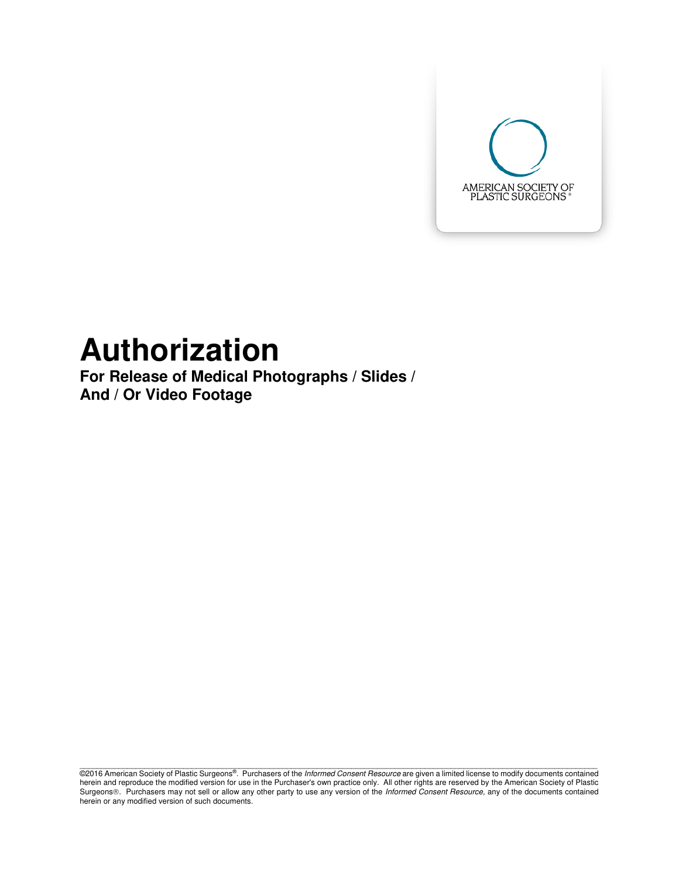

## **Authorization**

**For Release of Medical Photographs / Slides / And / Or Video Footage** 

@2016 American Society of Plastic Surgeons®. Purchasers of the *Informed Consent Resource* are given a limited license to modify documents contained herein and reproduce the modified version for use in the Purchaser's own practice only. All other rights are reserved by the American Society of Plastic Surgeons®. Purchasers may not sell or allow any other party to use any version of the Informed Consent Resource, any of the documents contained herein or any modified version of such documents.